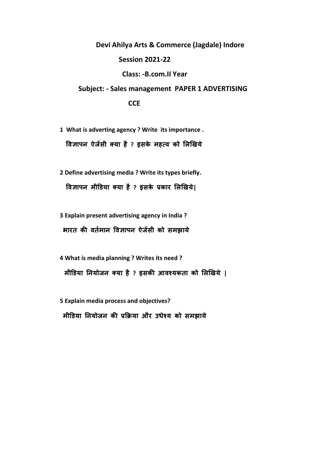**Devi Ahilya Arts & Commerce (Jagdale) Indore Session 2021-22 Class: -B.com.II Year Subject: - Sales management PAPER 1 ADVERTISING**

 **CCE**

**1 What is adverting agency ? Write its importance . विज्ञापन ऐजेंसी क्या है ? इसके महत्ि को लिखिये**

**2 Define advertising media ? Write its types briefly. विज्ञापन मीडिया क्या है ? इसके प्रकार लिखिये|**

**3 Explain present advertising agency in India ? भारत की िततमान विज्ञापन ऐजेंसी को समझाये** 

**4 What is media planning ? Writes its need ? मीडिया ननयोजन क्या है ? इसकी आिश्यकता को लिखिये |**

**5 Explain media process and objectives?**

 **मीडिया ननयोजन की प्रक्रिया और उधेश्य को समझाये**